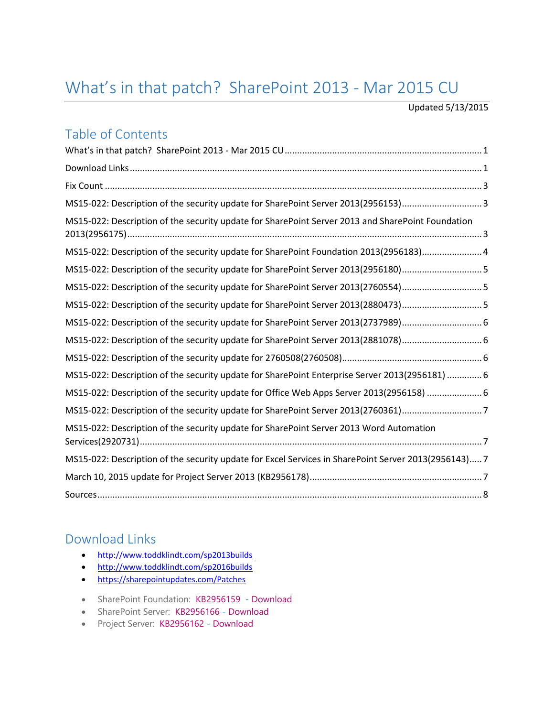# <span id="page-0-0"></span>What's in that patch? SharePoint 2013 - Mar 2015 CU

#### Updated 5/13/2015

#### Table of Contents

| MS15-022: Description of the security update for SharePoint Server 2013(2956153)3                    |
|------------------------------------------------------------------------------------------------------|
| MS15-022: Description of the security update for SharePoint Server 2013 and SharePoint Foundation    |
| MS15-022: Description of the security update for SharePoint Foundation 2013(2956183) 4               |
| MS15-022: Description of the security update for SharePoint Server 2013(2956180)5                    |
| MS15-022: Description of the security update for SharePoint Server 2013(2760554)5                    |
| MS15-022: Description of the security update for SharePoint Server 2013(2880473)                     |
| MS15-022: Description of the security update for SharePoint Server 2013(2737989)                     |
| MS15-022: Description of the security update for SharePoint Server 2013(2881078)                     |
|                                                                                                      |
| MS15-022: Description of the security update for SharePoint Enterprise Server 2013(2956181)  6       |
| MS15-022: Description of the security update for Office Web Apps Server 2013(2956158)  6             |
| MS15-022: Description of the security update for SharePoint Server 2013(2760361)7                    |
| MS15-022: Description of the security update for SharePoint Server 2013 Word Automation              |
| MS15-022: Description of the security update for Excel Services in SharePoint Server 2013(2956143) 7 |
|                                                                                                      |
|                                                                                                      |

#### <span id="page-0-1"></span>Download Links

- <http://www.toddklindt.com/sp2013builds>
- <http://www.toddklindt.com/sp2016builds>
- <https://sharepointupdates.com/Patches>
- SharePoint Foundation: [KB2956159](http://support.microsoft.com/KB/2920801)  [Download](http://www.microsoft.com/en-us/download/details.aspx?id=46326)
- SharePoint Server: [KB2956166](http://support.microsoft.com/KB/2920804) [Download](http://www.microsoft.com/en-us/download/details.aspx?id=46315)
- Project Server: [KB2956162](http://support.microsoft.com/KB/2920796) [Download](http://www.microsoft.com/en-us/download/details.aspx?id=46318)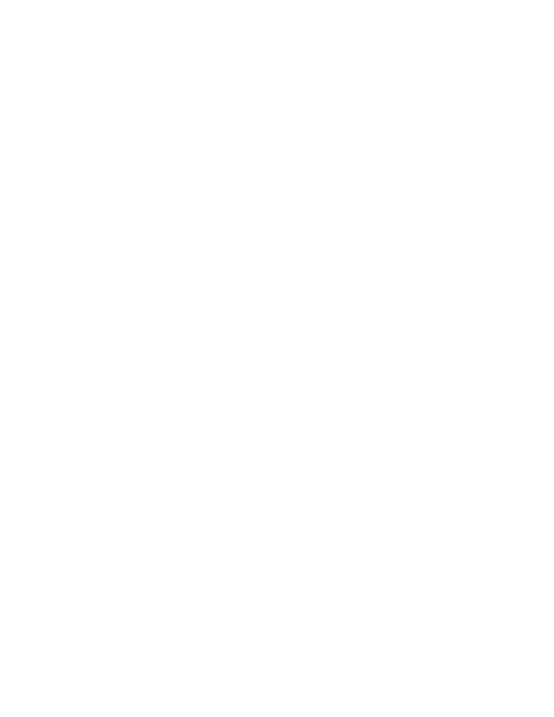<span id="page-1-0"></span>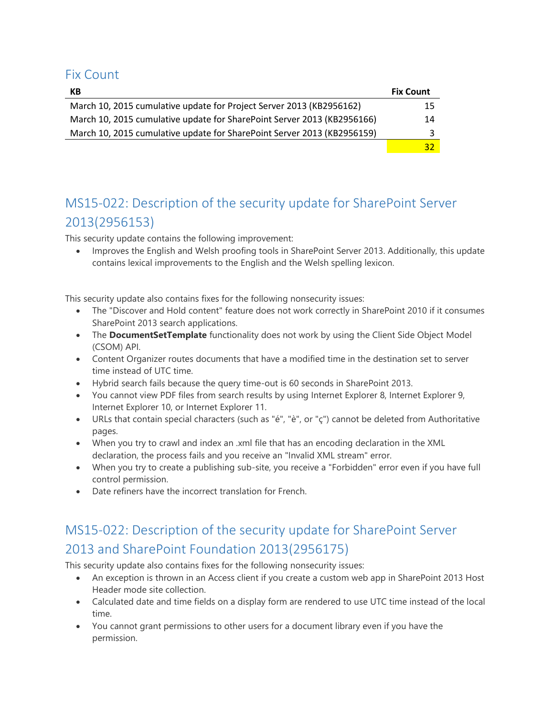#### Fix Count

| КB                                                                      | <b>Fix Count</b> |
|-------------------------------------------------------------------------|------------------|
| March 10, 2015 cumulative update for Project Server 2013 (KB2956162)    | 15               |
| March 10, 2015 cumulative update for SharePoint Server 2013 (KB2956166) | 14               |
| March 10, 2015 cumulative update for SharePoint Server 2013 (KB2956159) |                  |
|                                                                         | 32               |

#### <span id="page-2-0"></span>MS15-022: Description of the security update for SharePoint Server 2013(2956153)

This security update contains the following improvement:

• Improves the English and Welsh proofing tools in SharePoint Server 2013. Additionally, this update contains lexical improvements to the English and the Welsh spelling lexicon.

This security update also contains fixes for the following nonsecurity issues:

- The "Discover and Hold content" feature does not work correctly in SharePoint 2010 if it consumes SharePoint 2013 search applications.
- The **DocumentSetTemplate** functionality does not work by using the Client Side Object Model (CSOM) API.
- Content Organizer routes documents that have a modified time in the destination set to server time instead of UTC time.
- Hybrid search fails because the query time-out is 60 seconds in SharePoint 2013.
- You cannot view PDF files from search results by using Internet Explorer 8, Internet Explorer 9, Internet Explorer 10, or Internet Explorer 11.
- URLs that contain special characters (such as "é", "è", or "ç") cannot be deleted from Authoritative pages.
- When you try to crawl and index an .xml file that has an encoding declaration in the XML declaration, the process fails and you receive an "Invalid XML stream" error.
- When you try to create a publishing sub-site, you receive a "Forbidden" error even if you have full control permission.
- Date refiners have the incorrect translation for French.

### <span id="page-2-1"></span>MS15-022: Description of the security update for SharePoint Server 2013 and SharePoint Foundation 2013(2956175)

This security update also contains fixes for the following nonsecurity issues:

- An exception is thrown in an Access client if you create a custom web app in SharePoint 2013 Host Header mode site collection.
- Calculated date and time fields on a display form are rendered to use UTC time instead of the local time.
- You cannot grant permissions to other users for a document library even if you have the permission.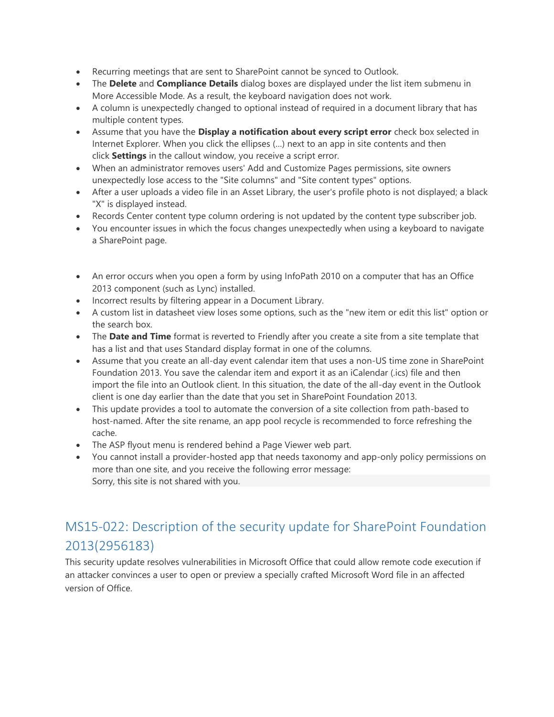- Recurring meetings that are sent to SharePoint cannot be synced to Outlook.
- The **Delete** and **Compliance Details** dialog boxes are displayed under the list item submenu in More Accessible Mode. As a result, the keyboard navigation does not work.
- A column is unexpectedly changed to optional instead of required in a document library that has multiple content types.
- Assume that you have the **Display a notification about every script error** check box selected in Internet Explorer. When you click the ellipses (…) next to an app in site contents and then click **Settings** in the callout window, you receive a script error.
- When an administrator removes users' Add and Customize Pages permissions, site owners unexpectedly lose access to the "Site columns" and "Site content types" options.
- After a user uploads a video file in an Asset Library, the user's profile photo is not displayed; a black "X" is displayed instead.
- Records Center content type column ordering is not updated by the content type subscriber job.
- You encounter issues in which the focus changes unexpectedly when using a keyboard to navigate a SharePoint page.
- An error occurs when you open a form by using InfoPath 2010 on a computer that has an Office 2013 component (such as Lync) installed.
- Incorrect results by filtering appear in a Document Library.
- A custom list in datasheet view loses some options, such as the "new item or edit this list" option or the search box.
- The **Date and Time** format is reverted to Friendly after you create a site from a site template that has a list and that uses Standard display format in one of the columns.
- Assume that you create an all-day event calendar item that uses a non-US time zone in SharePoint Foundation 2013. You save the calendar item and export it as an iCalendar (.ics) file and then import the file into an Outlook client. In this situation, the date of the all-day event in the Outlook client is one day earlier than the date that you set in SharePoint Foundation 2013.
- This update provides a tool to automate the conversion of a site collection from path-based to host-named. After the site rename, an app pool recycle is recommended to force refreshing the cache.
- The ASP flyout menu is rendered behind a Page Viewer web part.
- You cannot install a provider-hosted app that needs taxonomy and app-only policy permissions on more than one site, and you receive the following error message: Sorry, this site is not shared with you.

### <span id="page-3-0"></span>MS15-022: Description of the security update for SharePoint Foundation 2013(2956183)

This security update resolves vulnerabilities in Microsoft Office that could allow remote code execution if an attacker convinces a user to open or preview a specially crafted Microsoft Word file in an affected version of Office.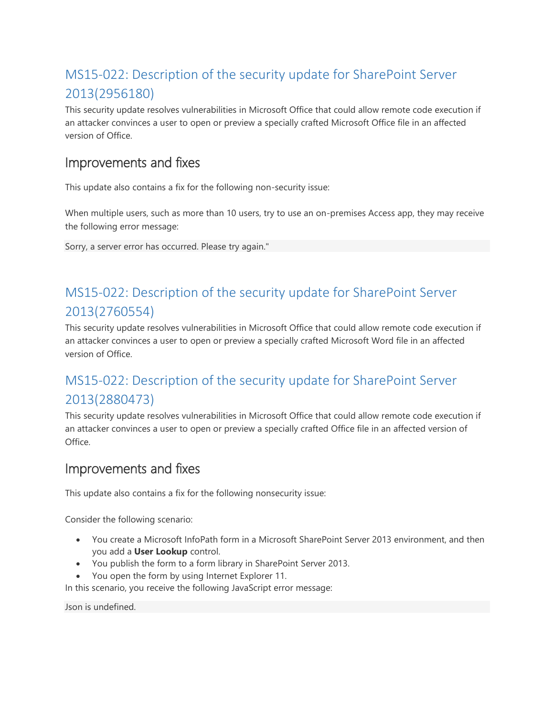## <span id="page-4-0"></span>MS15-022: Description of the security update for SharePoint Server 2013(2956180)

This security update resolves vulnerabilities in Microsoft Office that could allow remote code execution if an attacker convinces a user to open or preview a specially crafted Microsoft Office file in an affected version of Office.

#### Improvements and fixes

This update also contains a fix for the following non-security issue:

When multiple users, such as more than 10 users, try to use an on-premises Access app, they may receive the following error message:

Sorry, a server error has occurred. Please try again."

### <span id="page-4-1"></span>MS15-022: Description of the security update for SharePoint Server 2013(2760554)

This security update resolves vulnerabilities in Microsoft Office that could allow remote code execution if an attacker convinces a user to open or preview a specially crafted Microsoft Word file in an affected version of Office.

### <span id="page-4-2"></span>MS15-022: Description of the security update for SharePoint Server 2013(2880473)

This security update resolves vulnerabilities in Microsoft Office that could allow remote code execution if an attacker convinces a user to open or preview a specially crafted Office file in an affected version of Office.

#### Improvements and fixes

This update also contains a fix for the following nonsecurity issue:

Consider the following scenario:

- You create a Microsoft InfoPath form in a Microsoft SharePoint Server 2013 environment, and then you add a **User Lookup** control.
- You publish the form to a form library in SharePoint Server 2013.
- You open the form by using Internet Explorer 11.

In this scenario, you receive the following JavaScript error message:

Json is undefined.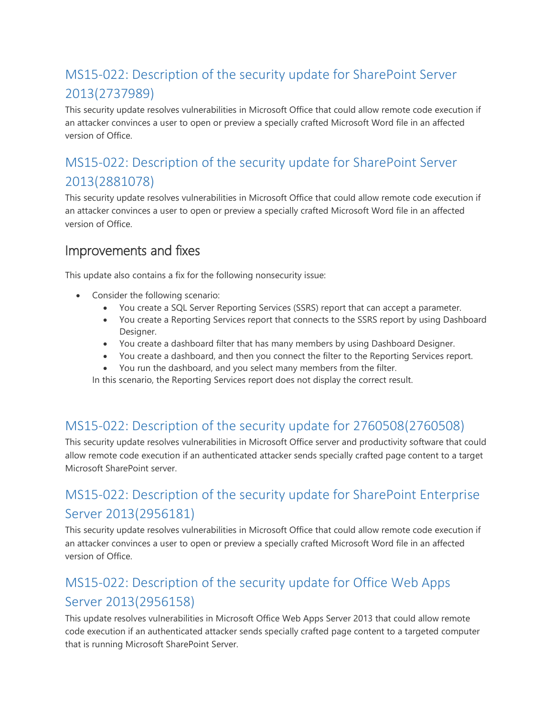## <span id="page-5-0"></span>MS15-022: Description of the security update for SharePoint Server 2013(2737989)

This security update resolves vulnerabilities in Microsoft Office that could allow remote code execution if an attacker convinces a user to open or preview a specially crafted Microsoft Word file in an affected version of Office.

## <span id="page-5-1"></span>MS15-022: Description of the security update for SharePoint Server 2013(2881078)

This security update resolves vulnerabilities in Microsoft Office that could allow remote code execution if an attacker convinces a user to open or preview a specially crafted Microsoft Word file in an affected version of Office.

#### Improvements and fixes

This update also contains a fix for the following nonsecurity issue:

- Consider the following scenario:
	- You create a SQL Server Reporting Services (SSRS) report that can accept a parameter.
	- You create a Reporting Services report that connects to the SSRS report by using Dashboard Designer.
	- You create a dashboard filter that has many members by using Dashboard Designer.
	- You create a dashboard, and then you connect the filter to the Reporting Services report.
	- You run the dashboard, and you select many members from the filter.

In this scenario, the Reporting Services report does not display the correct result.

#### <span id="page-5-2"></span>MS15-022: Description of the security update for 2760508(2760508)

This security update resolves vulnerabilities in Microsoft Office server and productivity software that could allow remote code execution if an authenticated attacker sends specially crafted page content to a target Microsoft SharePoint server.

### <span id="page-5-3"></span>MS15-022: Description of the security update for SharePoint Enterprise Server 2013(2956181)

This security update resolves vulnerabilities in Microsoft Office that could allow remote code execution if an attacker convinces a user to open or preview a specially crafted Microsoft Word file in an affected version of Office.

### <span id="page-5-4"></span>MS15-022: Description of the security update for Office Web Apps Server 2013(2956158)

This update resolves vulnerabilities in Microsoft Office Web Apps Server 2013 that could allow remote code execution if an authenticated attacker sends specially crafted page content to a targeted computer that is running Microsoft SharePoint Server.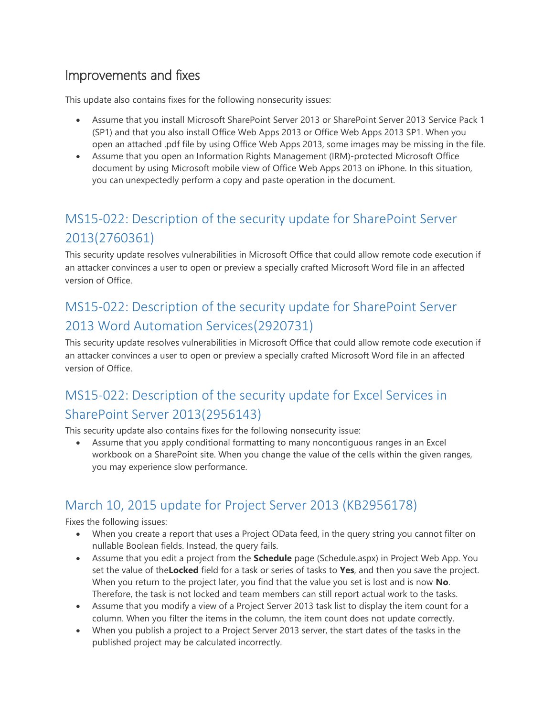#### Improvements and fixes

This update also contains fixes for the following nonsecurity issues:

- Assume that you install Microsoft SharePoint Server 2013 or SharePoint Server 2013 Service Pack 1 (SP1) and that you also install Office Web Apps 2013 or Office Web Apps 2013 SP1. When you open an attached .pdf file by using Office Web Apps 2013, some images may be missing in the file.
- Assume that you open an Information Rights Management (IRM)-protected Microsoft Office document by using Microsoft mobile view of Office Web Apps 2013 on iPhone. In this situation, you can unexpectedly perform a copy and paste operation in the document.

### <span id="page-6-0"></span>MS15-022: Description of the security update for SharePoint Server 2013(2760361)

This security update resolves vulnerabilities in Microsoft Office that could allow remote code execution if an attacker convinces a user to open or preview a specially crafted Microsoft Word file in an affected version of Office.

### <span id="page-6-1"></span>MS15-022: Description of the security update for SharePoint Server 2013 Word Automation Services(2920731)

This security update resolves vulnerabilities in Microsoft Office that could allow remote code execution if an attacker convinces a user to open or preview a specially crafted Microsoft Word file in an affected version of Office.

## <span id="page-6-2"></span>MS15-022: Description of the security update for Excel Services in SharePoint Server 2013(2956143)

This security update also contains fixes for the following nonsecurity issue:

 Assume that you apply conditional formatting to many noncontiguous ranges in an Excel workbook on a SharePoint site. When you change the value of the cells within the given ranges, you may experience slow performance.

#### <span id="page-6-3"></span>March 10, 2015 update for Project Server 2013 (KB2956178)

Fixes the following issues:

- When you create a report that uses a Project OData feed, in the query string you cannot filter on nullable Boolean fields. Instead, the query fails.
- Assume that you edit a project from the **Schedule** page (Schedule.aspx) in Project Web App. You set the value of the**Locked** field for a task or series of tasks to **Yes**, and then you save the project. When you return to the project later, you find that the value you set is lost and is now **No**. Therefore, the task is not locked and team members can still report actual work to the tasks.
- Assume that you modify a view of a Project Server 2013 task list to display the item count for a column. When you filter the items in the column, the item count does not update correctly.
- When you publish a project to a Project Server 2013 server, the start dates of the tasks in the published project may be calculated incorrectly.